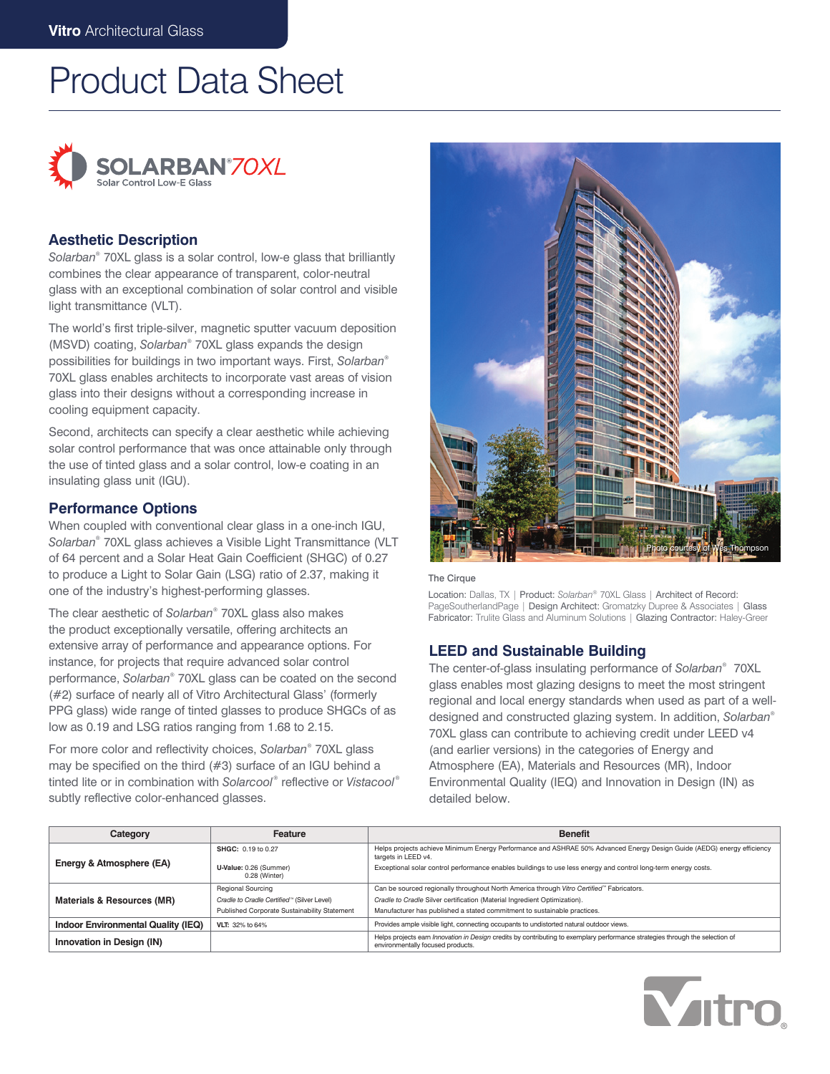# Product Data Sheet



## **Aesthetic Description**

*Solarban*® 70XL glass is a solar control, low-e glass that brilliantly combines the clear appearance of transparent, color-neutral glass with an exceptional combination of solar control and visible light transmittance (VLT).

The world's first triple-silver, magnetic sputter vacuum deposition (MSVD) coating, *Solarban*® 70XL glass expands the design possibilities for buildings in two important ways. First, *Solarban*® 70XL glass enables architects to incorporate vast areas of vision glass into their designs without a corresponding increase in cooling equipment capacity.

Second, architects can specify a clear aesthetic while achieving solar control performance that was once attainable only through the use of tinted glass and a solar control, low-e coating in an insulating glass unit (IGU).

# **Performance Options**

When coupled with conventional clear glass in a one-inch IGU, *Solarban*® 70XL glass achieves a Visible Light Transmittance (VLT of 64 percent and a Solar Heat Gain Coefficient (SHGC) of 0.27 to produce a Light to Solar Gain (LSG) ratio of 2.37, making it one of the industry's highest-performing glasses.

The clear aesthetic of *Solarban*® 70XL glass also makes the product exceptionally versatile, offering architects an extensive array of performance and appearance options. For instance, for projects that require advanced solar control performance, *Solarban*® 70XL glass can be coated on the second (#2) surface of nearly all of Vitro Architectural Glass' (formerly PPG glass) wide range of tinted glasses to produce SHGCs of as low as 0.19 and LSG ratios ranging from 1.68 to 2.15.

For more color and reflectivity choices, *Solarban*® 70XL glass may be specified on the third (#3) surface of an IGU behind a tinted lite or in combination with *Solarcool* ® reflective or *Vistacool* ® subtly reflective color-enhanced glasses.



#### The Cirque

Location: Dallas, TX | Product: *Solarban*® 70XL Glass | Architect of Record: PageSoutherlandPage | Design Architect: Gromatzky Dupree & Associates | Glass Fabricator: Trulite Glass and Aluminum Solutions | Glazing Contractor: Haley-Greer

## **LEED and Sustainable Building**

The center-of-glass insulating performance of *Solarban*® 70XL glass enables most glazing designs to meet the most stringent regional and local energy standards when used as part of a welldesigned and constructed glazing system. In addition, *Solarban*® 70XL glass can contribute to achieving credit under LEED v4 (and earlier versions) in the categories of Energy and Atmosphere (EA), Materials and Resources (MR), Indoor Environmental Quality (IEQ) and Innovation in Design (IN) as detailed below.

| Category                           | Feature                                      | <b>Benefit</b>                                                                                                                                                     |  |  |
|------------------------------------|----------------------------------------------|--------------------------------------------------------------------------------------------------------------------------------------------------------------------|--|--|
|                                    | SHGC: 0.19 to 0.27                           | Helps projects achieve Minimum Energy Performance and ASHRAE 50% Advanced Energy Design Guide (AEDG) energy efficiency<br>targets in LEED v4.                      |  |  |
| Energy & Atmosphere (EA)           | U-Value: 0.26 (Summer)<br>0.28 (Winter)      | Exceptional solar control performance enables buildings to use less energy and control long-term energy costs.                                                     |  |  |
|                                    | <b>Regional Sourcing</b>                     | Can be sourced regionally throughout North America through Vitro Certified <sup>™</sup> Fabricators.                                                               |  |  |
| Materials & Resources (MR)         | Cradle to Cradle Certified™ (Silver Level)   | Cradle to Cradle Silver certification (Material Ingredient Optimization).                                                                                          |  |  |
|                                    | Published Corporate Sustainability Statement | Manufacturer has published a stated commitment to sustainable practices.                                                                                           |  |  |
| Indoor Environmental Quality (IEQ) | VLT: 32% to 64%                              | Provides ample visible light, connecting occupants to undistorted natural outdoor views.                                                                           |  |  |
| Innovation in Design (IN)          |                                              | Helps projects earn Innovation in Design credits by contributing to exemplary performance strategies through the selection of<br>environmentally focused products. |  |  |